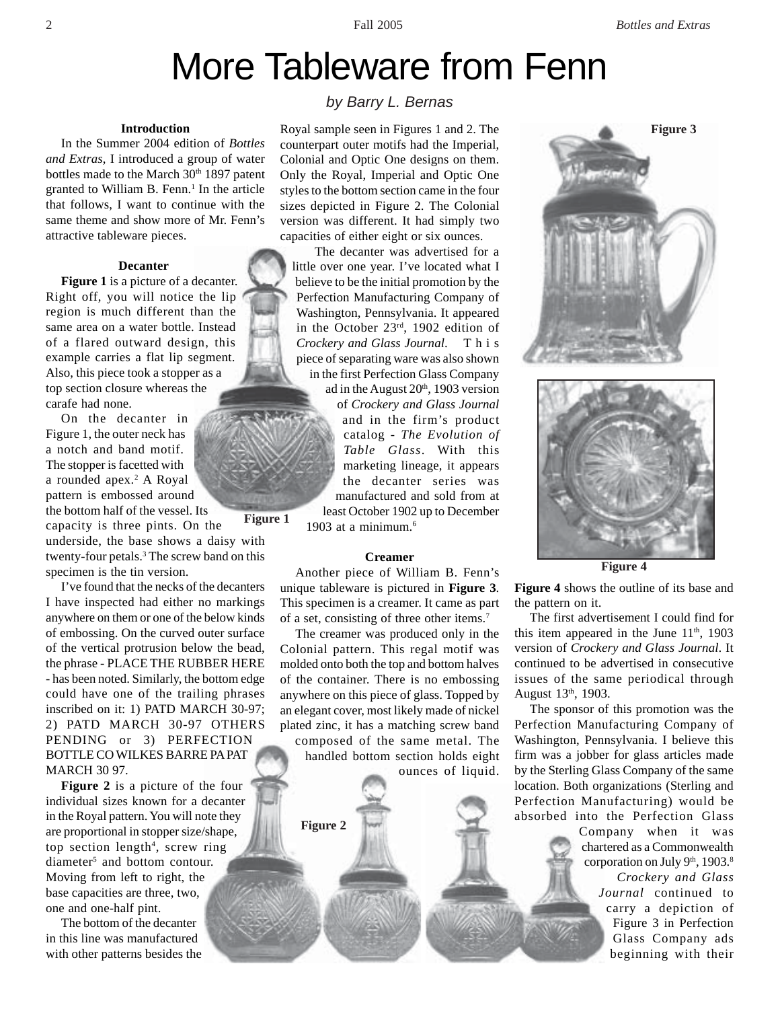# More Tableware from Fenn

# **Introduction**

In the Summer 2004 edition of *Bottles and Extras*, I introduced a group of water bottles made to the March 30<sup>th</sup> 1897 patent granted to William B. Fenn.<sup>1</sup> In the article that follows, I want to continue with the same theme and show more of Mr. Fenn's attractive tableware pieces.

# **Decanter**

**Figure 1** is a picture of a decanter. Right off, you will notice the lip region is much different than the same area on a water bottle. Instead of a flared outward design, this example carries a flat lip segment. Also, this piece took a stopper as a top section closure whereas the carafe had none.

On the decanter in Figure 1, the outer neck has a notch and band motif. The stopper is facetted with a rounded apex.<sup>2</sup> A Royal pattern is embossed around the bottom half of the vessel. Its

**Figure 1** capacity is three pints. On the underside, the base shows a daisy with twenty-four petals.<sup>3</sup> The screw band on this specimen is the tin version.

I've found that the necks of the decanters I have inspected had either no markings anywhere on them or one of the below kinds of embossing. On the curved outer surface of the vertical protrusion below the bead, the phrase - PLACE THE RUBBER HERE - has been noted. Similarly, the bottom edge could have one of the trailing phrases inscribed on it: 1) PATD MARCH 30-97; 2) PATD MARCH 30-97 OTHERS PENDING or 3) PERFECTION BOTTLE CO WILKES BARRE PA PAT MARCH 30 97.

**Figure 2** is a picture of the four individual sizes known for a decanter in the Royal pattern. You will note they are proportional in stopper size/shape, top section length<sup>4</sup>, screw ring diameter<sup>5</sup> and bottom contour. Moving from left to right, the base capacities are three, two, one and one-half pint.

The bottom of the decanter in this line was manufactured with other patterns besides the

# *by Barry L. Bernas*

Royal sample seen in Figures 1 and 2. The counterpart outer motifs had the Imperial, Colonial and Optic One designs on them. Only the Royal, Imperial and Optic One styles to the bottom section came in the four sizes depicted in Figure 2. The Colonial version was different. It had simply two capacities of either eight or six ounces.

 The decanter was advertised for a little over one year. I've located what I believe to be the initial promotion by the Perfection Manufacturing Company of Washington, Pennsylvania. It appeared in the October 23rd, 1902 edition of *Crockery and Glass Journal*. This piece of separating ware was also shown in the first Perfection Glass Company

ad in the August  $20<sup>th</sup>$ , 1903 version of *Crockery and Glass Journal* and in the firm's product catalog - *The Evolution of Table Glass*. With this marketing lineage, it appears the decanter series was manufactured and sold from at least October 1902 up to December

1903 at a minimum.<sup>6</sup>

### **Creamer**

Another piece of William B. Fenn's unique tableware is pictured in **Figure 3**. This specimen is a creamer. It came as part of a set, consisting of three other items.7

The creamer was produced only in the Colonial pattern. This regal motif was molded onto both the top and bottom halves of the container. There is no embossing anywhere on this piece of glass. Topped by an elegant cover, most likely made of nickel plated zinc, it has a matching screw band

composed of the same metal. The handled bottom section holds eight ounces of liquid.

**Figure 2**





**Figure 4**

**Figure 4** shows the outline of its base and the pattern on it.

The first advertisement I could find for this item appeared in the June  $11<sup>th</sup>$ , 1903 version of *Crockery and Glass Journal*. It continued to be advertised in consecutive issues of the same periodical through August 13th, 1903.

The sponsor of this promotion was the Perfection Manufacturing Company of Washington, Pennsylvania. I believe this firm was a jobber for glass articles made by the Sterling Glass Company of the same location. Both organizations (Sterling and Perfection Manufacturing) would be absorbed into the Perfection Glass

> Company when it was chartered as a Commonwealth corporation on July 9th, 1903.8 *Crockery and Glass Journal* continued to carry a depiction of Figure 3 in Perfection Glass Company ads beginning with their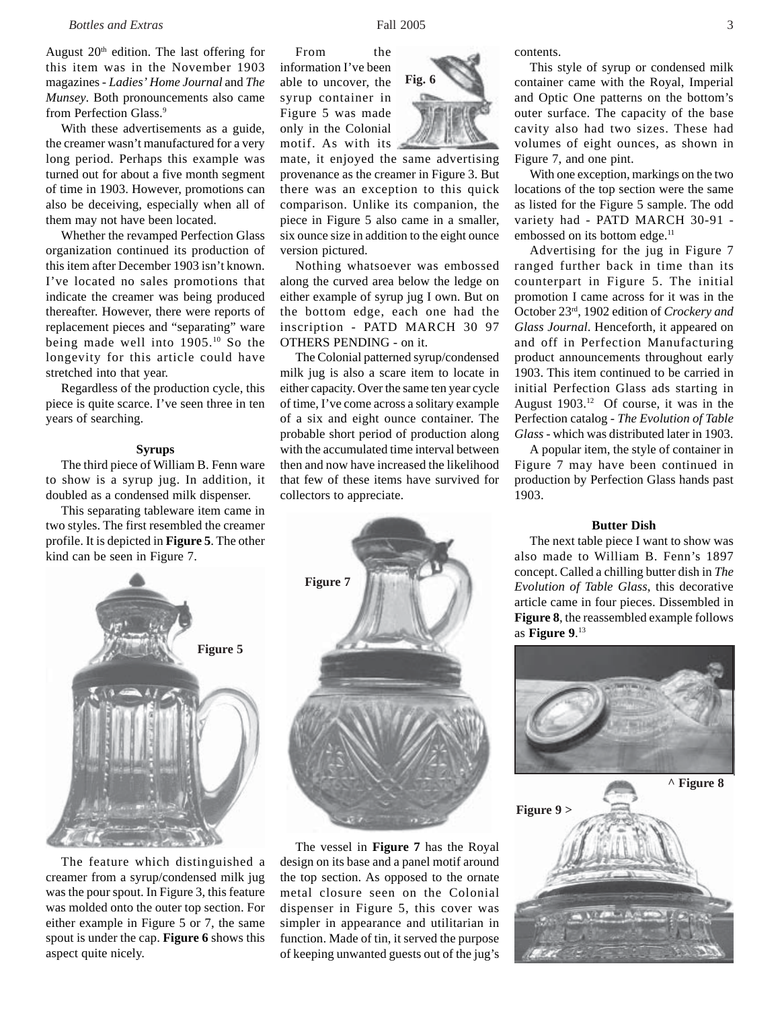August  $20<sup>th</sup>$  edition. The last offering for this item was in the November 1903 magazines - *Ladies' Home Journal* and *The Munsey*. Both pronouncements also came from Perfection Glass.<sup>9</sup>

With these advertisements as a guide, the creamer wasn't manufactured for a very long period. Perhaps this example was turned out for about a five month segment of time in 1903. However, promotions can also be deceiving, especially when all of them may not have been located.

Whether the revamped Perfection Glass organization continued its production of this item after December 1903 isn't known. I've located no sales promotions that indicate the creamer was being produced thereafter. However, there were reports of replacement pieces and "separating" ware being made well into 1905.10 So the longevity for this article could have stretched into that year.

Regardless of the production cycle, this piece is quite scarce. I've seen three in ten years of searching.

#### **Syrups**

The third piece of William B. Fenn ware to show is a syrup jug. In addition, it doubled as a condensed milk dispenser.

This separating tableware item came in two styles. The first resembled the creamer profile. It is depicted in **Figure 5**. The other kind can be seen in Figure 7.



The feature which distinguished a creamer from a syrup/condensed milk jug was the pour spout. In Figure 3, this feature was molded onto the outer top section. For either example in Figure 5 or 7, the same spout is under the cap. **Figure 6** shows this aspect quite nicely.

From the information I've been able to uncover, the syrup container in Figure 5 was made only in the Colonial motif. As with its

mate, it enjoyed the same advertising

**Fig. 6**

provenance as the creamer in Figure 3. But there was an exception to this quick comparison. Unlike its companion, the piece in Figure 5 also came in a smaller, six ounce size in addition to the eight ounce version pictured.

Nothing whatsoever was embossed along the curved area below the ledge on either example of syrup jug I own. But on the bottom edge, each one had the inscription - PATD MARCH 30 97 OTHERS PENDING - on it.

The Colonial patterned syrup/condensed milk jug is also a scare item to locate in either capacity. Over the same ten year cycle of time, I've come across a solitary example of a six and eight ounce container. The probable short period of production along with the accumulated time interval between then and now have increased the likelihood that few of these items have survived for collectors to appreciate.



The vessel in **Figure 7** has the Royal design on its base and a panel motif around the top section. As opposed to the ornate metal closure seen on the Colonial dispenser in Figure 5, this cover was simpler in appearance and utilitarian in function. Made of tin, it served the purpose of keeping unwanted guests out of the jug's contents.

With one exception, markings on the two locations of the top section were the same as listed for the Figure 5 sample. The odd variety had - PATD MARCH 30-91 embossed on its bottom edge.<sup>11</sup>

Advertising for the jug in Figure 7 ranged further back in time than its counterpart in Figure 5. The initial promotion I came across for it was in the October 23rd, 1902 edition of *Crockery and Glass Journal*. Henceforth, it appeared on and off in Perfection Manufacturing product announcements throughout early 1903. This item continued to be carried in initial Perfection Glass ads starting in August 1903.12 Of course, it was in the Perfection catalog - *The Evolution of Table Glass* - which was distributed later in 1903.

A popular item, the style of container in Figure 7 may have been continued in production by Perfection Glass hands past 1903.

# **Butter Dish**

The next table piece I want to show was also made to William B. Fenn's 1897 concept. Called a chilling butter dish in *The Evolution of Table Glass*, this decorative article came in four pieces. Dissembled in **Figure 8**, the reassembled example follows as **Figure 9**. 13



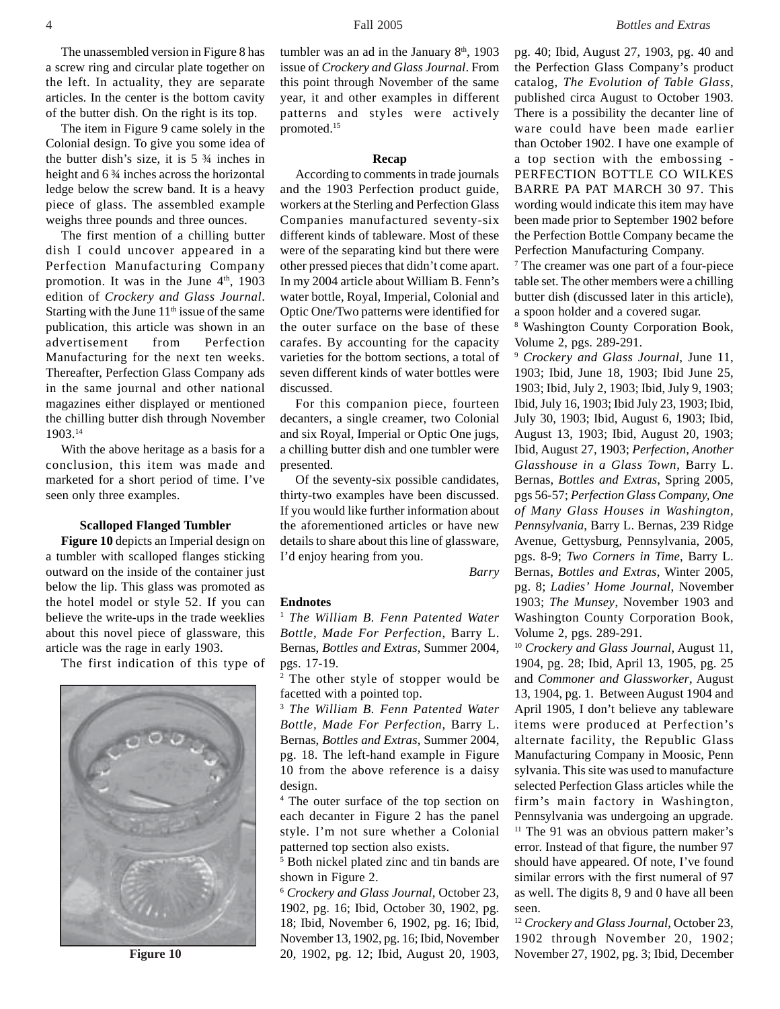The unassembled version in Figure 8 has a screw ring and circular plate together on the left. In actuality, they are separate articles. In the center is the bottom cavity of the butter dish. On the right is its top.

The item in Figure 9 came solely in the Colonial design. To give you some idea of the butter dish's size, it is 5 ¾ inches in height and 6 ¾ inches across the horizontal ledge below the screw band. It is a heavy piece of glass. The assembled example weighs three pounds and three ounces.

The first mention of a chilling butter dish I could uncover appeared in a Perfection Manufacturing Company promotion. It was in the June 4<sup>th</sup>, 1903 edition of *Crockery and Glass Journal*. Starting with the June  $11<sup>th</sup>$  issue of the same publication, this article was shown in an advertisement from Perfection Manufacturing for the next ten weeks. Thereafter, Perfection Glass Company ads in the same journal and other national magazines either displayed or mentioned the chilling butter dish through November 1903.14

With the above heritage as a basis for a conclusion, this item was made and marketed for a short period of time. I've seen only three examples.

# **Scalloped Flanged Tumbler**

**Figure 10** depicts an Imperial design on a tumbler with scalloped flanges sticking outward on the inside of the container just below the lip. This glass was promoted as the hotel model or style 52. If you can believe the write-ups in the trade weeklies about this novel piece of glassware, this article was the rage in early 1903.

The first indication of this type of



**Figure 10**

tumbler was an ad in the January  $8<sup>th</sup>$ , 1903 issue of *Crockery and Glass Journal*. From this point through November of the same year, it and other examples in different patterns and styles were actively promoted.15

#### **Recap**

According to comments in trade journals and the 1903 Perfection product guide, workers at the Sterling and Perfection Glass Companies manufactured seventy-six different kinds of tableware. Most of these were of the separating kind but there were other pressed pieces that didn't come apart. In my 2004 article about William B. Fenn's water bottle, Royal, Imperial, Colonial and Optic One/Two patterns were identified for the outer surface on the base of these carafes. By accounting for the capacity varieties for the bottom sections, a total of seven different kinds of water bottles were discussed.

For this companion piece, fourteen decanters, a single creamer, two Colonial and six Royal, Imperial or Optic One jugs, a chilling butter dish and one tumbler were presented.

Of the seventy-six possible candidates, thirty-two examples have been discussed. If you would like further information about the aforementioned articles or have new details to share about this line of glassware, I'd enjoy hearing from you.

*Barry*

# **Endnotes**

<sup>1</sup> *The William B. Fenn Patented Water Bottle, Made For Perfection*, Barry L. Bernas, *Bottles and Extras*, Summer 2004, pgs. 17-19.

<sup>2</sup> The other style of stopper would be facetted with a pointed top.

<sup>3</sup> *The William B. Fenn Patented Water Bottle, Made For Perfection*, Barry L. Bernas, *Bottles and Extras*, Summer 2004, pg. 18. The left-hand example in Figure 10 from the above reference is a daisy design.

4 The outer surface of the top section on each decanter in Figure 2 has the panel style. I'm not sure whether a Colonial patterned top section also exists.

5 Both nickel plated zinc and tin bands are shown in Figure 2.

<sup>6</sup> *Crockery and Glass Journal*, October 23, 1902, pg. 16; Ibid, October 30, 1902, pg. 18; Ibid, November 6, 1902, pg. 16; Ibid, November 13, 1902, pg. 16; Ibid, November 20, 1902, pg. 12; Ibid, August 20, 1903,

pg. 40; Ibid, August 27, 1903, pg. 40 and the Perfection Glass Company's product catalog, *The Evolution of Table Glass*, published circa August to October 1903. There is a possibility the decanter line of ware could have been made earlier than October 1902. I have one example of a top section with the embossing - PERFECTION BOTTLE CO WILKES BARRE PA PAT MARCH 30 97. This wording would indicate this item may have been made prior to September 1902 before the Perfection Bottle Company became the Perfection Manufacturing Company.

<sup>7</sup> The creamer was one part of a four-piece table set. The other members were a chilling butter dish (discussed later in this article), a spoon holder and a covered sugar.

8 Washington County Corporation Book, Volume 2, pgs. 289-291.

<sup>9</sup> *Crockery and Glass Journal*, June 11, 1903; Ibid, June 18, 1903; Ibid June 25, 1903; Ibid, July 2, 1903; Ibid, July 9, 1903; Ibid, July 16, 1903; Ibid July 23, 1903; Ibid, July 30, 1903; Ibid, August 6, 1903; Ibid, August 13, 1903; Ibid, August 20, 1903; Ibid, August 27, 1903; *Perfection, Another Glasshouse in a Glass Town*, Barry L. Bernas, *Bottles and Extras*, Spring 2005, pgs 56-57; *Perfection Glass Company, One of Many Glass Houses in Washington, Pennsylvania*, Barry L. Bernas, 239 Ridge Avenue, Gettysburg, Pennsylvania, 2005, pgs. 8-9; *Two Corners in Time*, Barry L. Bernas, *Bottles and Extras*, Winter 2005, pg. 8; *Ladies' Home Journal*, November 1903; *The Munsey*, November 1903 and Washington County Corporation Book, Volume 2, pgs. 289-291.

<sup>10</sup> *Crockery and Glass Journal*, August 11, 1904, pg. 28; Ibid, April 13, 1905, pg. 25 and *Commoner and Glassworker*, August 13, 1904, pg. 1. Between August 1904 and April 1905, I don't believe any tableware items were produced at Perfection's alternate facility, the Republic Glass Manufacturing Company in Moosic, Penn sylvania. This site was used to manufacture selected Perfection Glass articles while the firm's main factory in Washington, Pennsylvania was undergoing an upgrade. <sup>11</sup> The 91 was an obvious pattern maker's error. Instead of that figure, the number 97 should have appeared. Of note, I've found similar errors with the first numeral of 97 as well. The digits 8, 9 and 0 have all been seen.

<sup>12</sup> *Crockery and Glass Journal*, October 23, 1902 through November 20, 1902; November 27, 1902, pg. 3; Ibid, December